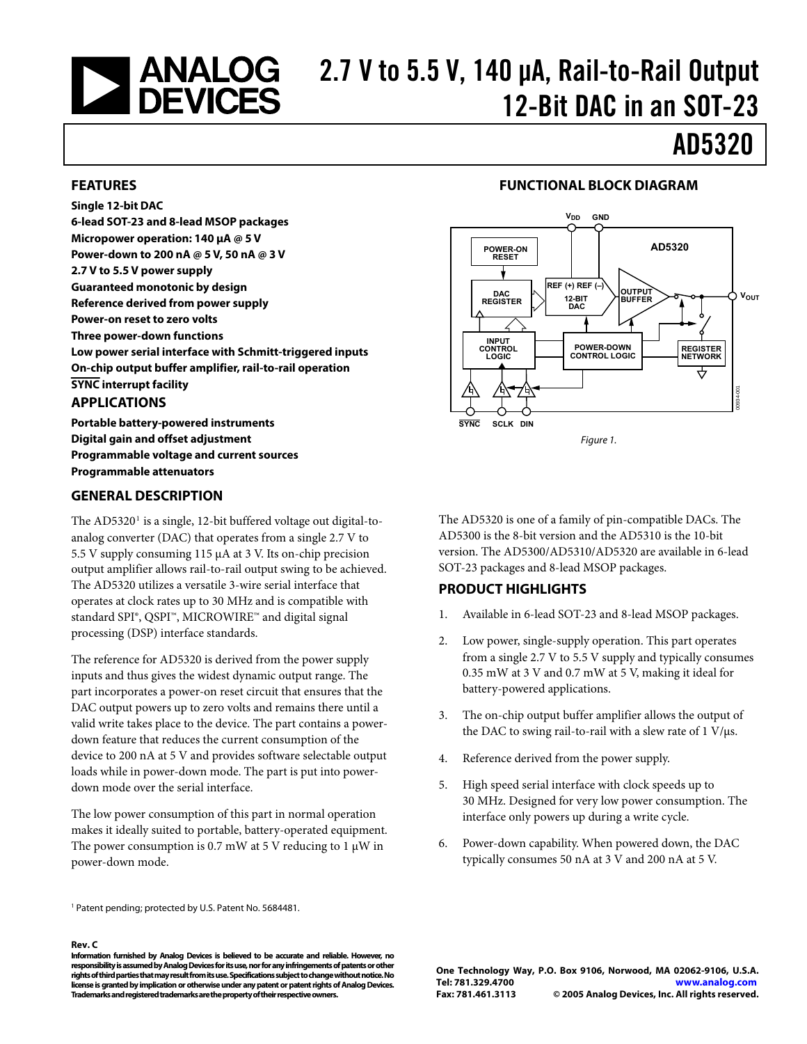# <span id="page-0-0"></span>2.7 V to 5.5 V, 140 μA, Rail-to-Rail Output<br>2.7 DEVICES 12-Rit DAC in an SOT-23 12-Bit DAC in an SOT-23

# AD5320

#### **FEATURES**

**Single 12-bit DAC 6-lead SOT-23 and 8-lead MSOP packages Micropower operation: 140 μA @ 5 V Power-down to 200 nA @ 5 V, 50 nA @ 3 V 2.7 V to 5.5 V power supply Guaranteed monotonic by design Reference derived from power supply Power-on reset to zero volts Three power-down functions Low power serial interface with Schmitt-triggered inputs On-chip output buffer amplifier, rail-to-rail operation SYNC interrupt facility** 

### **APPLICATIONS**

**Portable battery-powered instruments Digital gain and offset adjustment Programmable voltage and current sources Programmable attenuators** 

### **GENERAL DESCRIPTION**

The AD5320<sup>1</sup> is a single, 12-bit buffered voltage out digital-toanalog converter (DAC) that operates from a single 2.7 V to 5.5 V supply consuming 115 μA at 3 V. Its on-chip precision output amplifier allows rail-to-rail output swing to be achieved. The AD5320 utilizes a versatile 3-wire serial interface that operates at clock rates up to 30 MHz and is compatible with standard SPI®, QSPI™, MICROWIRE™ and digital signal processing (DSP) interface standards.

The reference for AD5320 is derived from the power supply inputs and thus gives the widest dynamic output range. The part incorporates a power-on reset circuit that ensures that the DAC output powers up to zero volts and remains there until a valid write takes place to the device. The part contains a powerdown feature that reduces the current consumption of the device to 200 nA at 5 V and provides software selectable output loads while in power-down mode. The part is put into powerdown mode over the serial interface.

The low power consumption of this part in normal operation makes it ideally suited to portable, battery-operated equipment. The power consumption is 0.7 mW at 5 V reducing to 1  $\mu$ W in power-down mode.

1 Patent pending; protected by U.S. Patent No. 5684481.

#### **Rev. C**

**Information furnished by Analog Devices is believed to be accurate and reliable. However, no responsibility is assumed by Analog Devices for its use, nor for any infringements of patents or other rights of third parties that may result from its use. Specifications subject to change without notice. No license is granted by implication or otherwise under any patent or patent rights of Analog Devices. Trademarks and registered trademarks are the property of their respective owners.** 

#### **FUNCTIONAL BLOCK DIAGRAM**



Figure 1.

The AD5320 is one of a family of pin-compatible DACs. The AD5300 is the 8-bit version and the AD5310 is the 10-bit version. The AD5300/AD5310/AD5320 are available in 6-lead SOT-23 packages and 8-lead MSOP packages.

### **PRODUCT HIGHLIGHTS**

- 1. Available in 6-lead SOT-23 and 8-lead MSOP packages.
- 2. Low power, single-supply operation. This part operates from a single 2.7 V to 5.5 V supply and typically consumes 0.35 mW at 3 V and 0.7 mW at 5 V, making it ideal for battery-powered applications.
- 3. The on-chip output buffer amplifier allows the output of the DAC to swing rail-to-rail with a slew rate of  $1 \text{ V/}\mu\text{s}$ .
- 4. Reference derived from the power supply.
- 5. High speed serial interface with clock speeds up to 30 MHz. Designed for very low power consumption. The interface only powers up during a write cycle.
- 6. Power-down capability. When powered down, the DAC typically consumes 50 nA at 3 V and 200 nA at 5 V.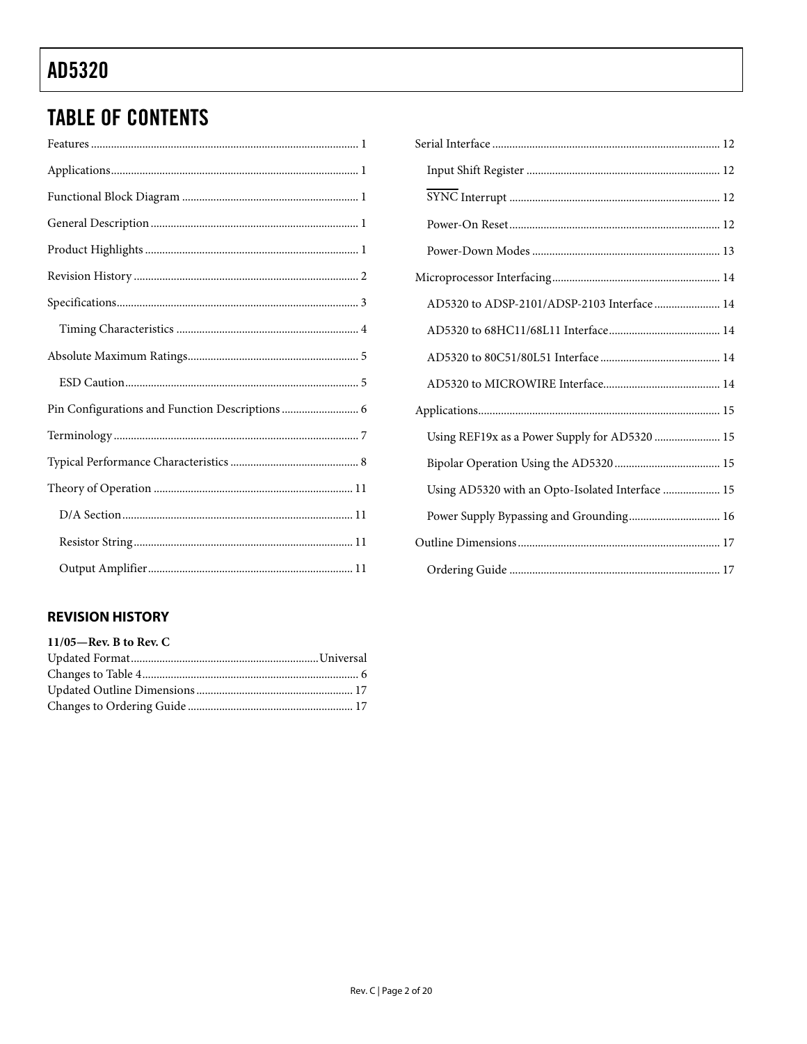# <span id="page-1-0"></span>**TABLE OF CONTENTS**

| Pin Configurations and Function Descriptions  6 |
|-------------------------------------------------|
|                                                 |
|                                                 |
|                                                 |
|                                                 |
|                                                 |
|                                                 |

### **REVISION HISTORY**

| $11/05$ —Rev. B to Rev. C |  |
|---------------------------|--|
|                           |  |
|                           |  |
|                           |  |
|                           |  |
|                           |  |

| AD5320 to ADSP-2101/ADSP-2103 Interface  14      |
|--------------------------------------------------|
|                                                  |
|                                                  |
|                                                  |
|                                                  |
| Using REF19x as a Power Supply for AD5320  15    |
|                                                  |
| Using AD5320 with an Opto-Isolated Interface  15 |
| Power Supply Bypassing and Grounding 16          |
|                                                  |
|                                                  |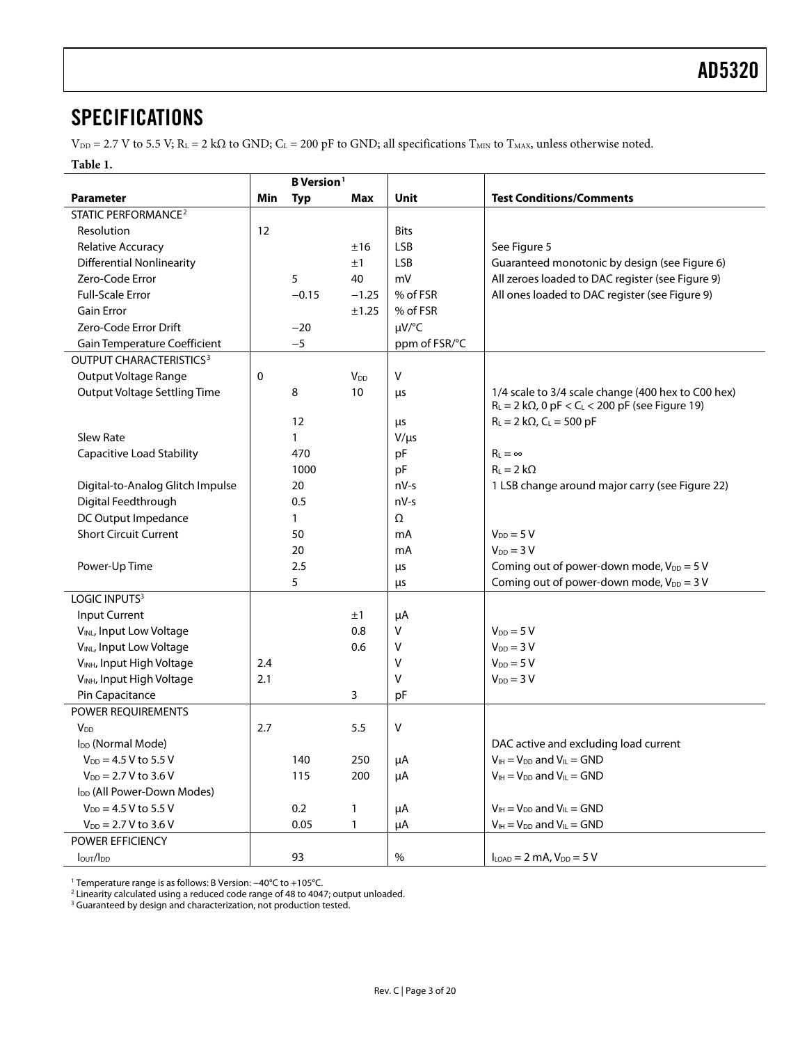### <span id="page-2-0"></span>SPECIFICATIONS

 $V_{\text{DD}} = 2.7 \text{ V}$  to 5.5 V; R<sub>L</sub> = 2 kΩ to GND; C<sub>L</sub> = 200 pF to GND; all specifications T<sub>MIN</sub> to T<sub>MAX</sub>, unless otherwise noted.

#### **Table 1.**

|                                        | <b>B</b> Version <sup>1</sup> |            |                        |                 |                                                                                                                          |
|----------------------------------------|-------------------------------|------------|------------------------|-----------------|--------------------------------------------------------------------------------------------------------------------------|
| <b>Parameter</b>                       | Min                           | <b>Typ</b> | <b>Max</b>             | Unit            | <b>Test Conditions/Comments</b>                                                                                          |
| <b>STATIC PERFORMANCE<sup>2</sup></b>  |                               |            |                        |                 |                                                                                                                          |
| Resolution                             | 12                            |            |                        | <b>Bits</b>     |                                                                                                                          |
| Relative Accuracy                      |                               |            | ±16                    | <b>LSB</b>      | See Figure 5                                                                                                             |
| <b>Differential Nonlinearity</b>       |                               |            | ±1                     | <b>LSB</b>      | Guaranteed monotonic by design (see Figure 6)                                                                            |
| Zero-Code Error                        |                               | 5          | 40                     | mV              | All zeroes loaded to DAC register (see Figure 9)                                                                         |
| Full-Scale Error                       |                               | $-0.15$    | $-1.25$                | % of FSR        | All ones loaded to DAC register (see Figure 9)                                                                           |
| <b>Gain Error</b>                      |                               |            | ±1.25                  | % of FSR        |                                                                                                                          |
| Zero-Code Error Drift                  |                               | $-20$      |                        | µV/°C           |                                                                                                                          |
| Gain Temperature Coefficient           |                               | $-5$       |                        | ppm of FSR/°C   |                                                                                                                          |
| OUTPUT CHARACTERISTICS <sup>3</sup>    |                               |            |                        |                 |                                                                                                                          |
| Output Voltage Range                   | 0                             |            | <b>V</b> <sub>DD</sub> | v               |                                                                                                                          |
| <b>Output Voltage Settling Time</b>    |                               | 8          | 10                     | μs              | 1/4 scale to 3/4 scale change (400 hex to C00 hex)<br>$R_L = 2 k\Omega$ , 0 pF < C <sub>L</sub> < 200 pF (see Figure 19) |
|                                        |                               | 12         |                        |                 | $R_L = 2 k\Omega$ , $C_L = 500 pF$                                                                                       |
| Slew Rate                              |                               | 1          |                        | μs<br>$V/\mu s$ |                                                                                                                          |
| <b>Capacitive Load Stability</b>       |                               | 470        |                        | pF              | $R_L = \infty$                                                                                                           |
|                                        |                               | 1000       |                        | pF              | $R_{L} = 2 k\Omega$                                                                                                      |
| Digital-to-Analog Glitch Impulse       |                               | 20         |                        | $nV-s$          | 1 LSB change around major carry (see Figure 22)                                                                          |
| Digital Feedthrough                    |                               | 0.5        |                        | $nV-s$          |                                                                                                                          |
| DC Output Impedance                    |                               | 1          |                        | Ω               |                                                                                                                          |
| <b>Short Circuit Current</b>           |                               | 50         |                        | mA              | $V_{DD} = 5 V$                                                                                                           |
|                                        |                               | 20         |                        | mA              | $V_{DD} = 3 V$                                                                                                           |
| Power-Up Time                          |                               | 2.5        |                        |                 | Coming out of power-down mode, $V_{DD} = 5 V$                                                                            |
|                                        |                               | 5          |                        | μs<br>$\mu$ s   | Coming out of power-down mode, $V_{DD} = 3 V$                                                                            |
| LOGIC INPUTS <sup>3</sup>              |                               |            |                        |                 |                                                                                                                          |
| <b>Input Current</b>                   |                               |            | ±1                     | μA              |                                                                                                                          |
| VINL, Input Low Voltage                |                               |            | 0.8                    | V               | $V_{DD} = 5 V$                                                                                                           |
| VINL, Input Low Voltage                |                               |            | 0.6                    | v               | $V_{DD} = 3 V$                                                                                                           |
| VINH, Input High Voltage               | 2.4                           |            |                        | ٧               | $V_{DD} = 5 V$                                                                                                           |
| VINH, Input High Voltage               | 2.1                           |            |                        | V               | $V_{DD} = 3 V$                                                                                                           |
| Pin Capacitance                        |                               |            | 3                      | pF              |                                                                                                                          |
| POWER REQUIREMENTS                     |                               |            |                        |                 |                                                                                                                          |
| V <sub>DD</sub>                        | 2.7                           |            | 5.5                    | V               |                                                                                                                          |
| I <sub>DD</sub> (Normal Mode)          |                               |            |                        |                 | DAC active and excluding load current                                                                                    |
| $V_{DD} = 4.5 V$ to 5.5 V              |                               | 140        | 250                    | μA              | $V_{IH} = V_{DD}$ and $V_{IL} = GND$                                                                                     |
| $V_{DD} = 2.7 V$ to 3.6 V              |                               | 115        | 200                    | μA              | $V_{IH} = V_{DD}$ and $V_{IL} = GND$                                                                                     |
| I <sub>DD</sub> (All Power-Down Modes) |                               |            |                        |                 |                                                                                                                          |
| $V_{DD} = 4.5 V$ to 5.5 V              |                               | 0.2        | $\mathbf{1}$           | μA              | $V_{IH} = V_{DD}$ and $V_{IL} = GND$                                                                                     |
| $V_{DD} = 2.7 V$ to 3.6 V              |                               | 0.05       | 1                      | μA              | $V_{IH} = V_{DD}$ and $V_{IL} = GND$                                                                                     |
| POWER EFFICIENCY                       |                               |            |                        |                 |                                                                                                                          |
| lout/lpp                               |                               | 93         |                        | $\%$            | $I_{LOAD} = 2$ mA, $V_{DD} = 5$ V                                                                                        |

1 Temperature range is as follows: B Version: −40°C to +105°C. 2

<sup>2</sup> Linearity calculated using a reduced code range of 48 to 4047; output unloaded.

<sup>3</sup> Guaranteed by design and characterization, not production tested.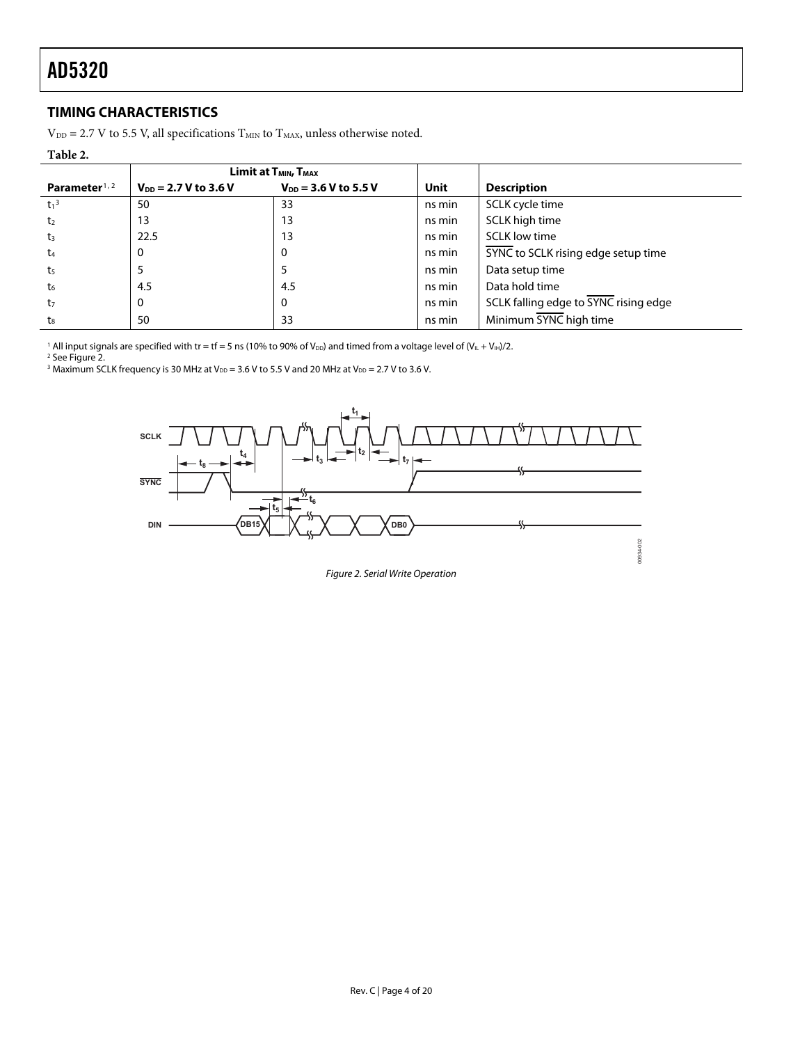### <span id="page-3-1"></span><span id="page-3-0"></span>**TIMING CHARACTERISTICS**

 $V_{\text{DD}} = 2.7$  V to 5.5 V, all specifications  $T_{\text{MIN}}$  to  $T_{\text{MAX}}$  unless otherwise noted.

#### **Table 2.**

|                           |                           | Limit at T <sub>MIN</sub> , T <sub>MAX</sub> |        |                                       |
|---------------------------|---------------------------|----------------------------------------------|--------|---------------------------------------|
| Parameter <sup>1, 2</sup> | $V_{DD} = 2.7 V$ to 3.6 V | $V_{DD}$ = 3.6 V to 5.5 V                    | Unit   | <b>Description</b>                    |
| $t_1^3$                   | 50                        | 33                                           | ns min | SCLK cycle time                       |
| t <sub>2</sub>            | 13                        | 13                                           | ns min | SCLK high time                        |
| $t_3$                     | 22.5                      | 13                                           | ns min | <b>SCLK low time</b>                  |
| t <sub>4</sub>            | 0                         |                                              | ns min | SYNC to SCLK rising edge setup time   |
| t5                        | 5                         |                                              | ns min | Data setup time                       |
| t <sub>6</sub>            | 4.5                       | 4.5                                          | ns min | Data hold time                        |
| t <sub>7</sub>            | 0                         | 0                                            | ns min | SCLK falling edge to SYNC rising edge |
| t <sub>8</sub>            | 50                        | 33                                           | ns min | Minimum SYNC high time                |

 $^1$  All input signals are specified with tr = tf = 5 ns (10% to 90% of V $_{\rm DD}$ ) and timed from a voltage level of (V $_{\rm IL}$  + V $_{\rm IH}$ )/2.<br><sup>2</sup> See Figure 2.

<sup>3</sup> Maximum SCLK frequency is 30 MHz at V<sub>DD</sub> = 3.6 V to 5.5 V and 20 MHz at V<sub>DD</sub> = 2.7 V to 3.6 V.



Figure 2. Serial Write Operation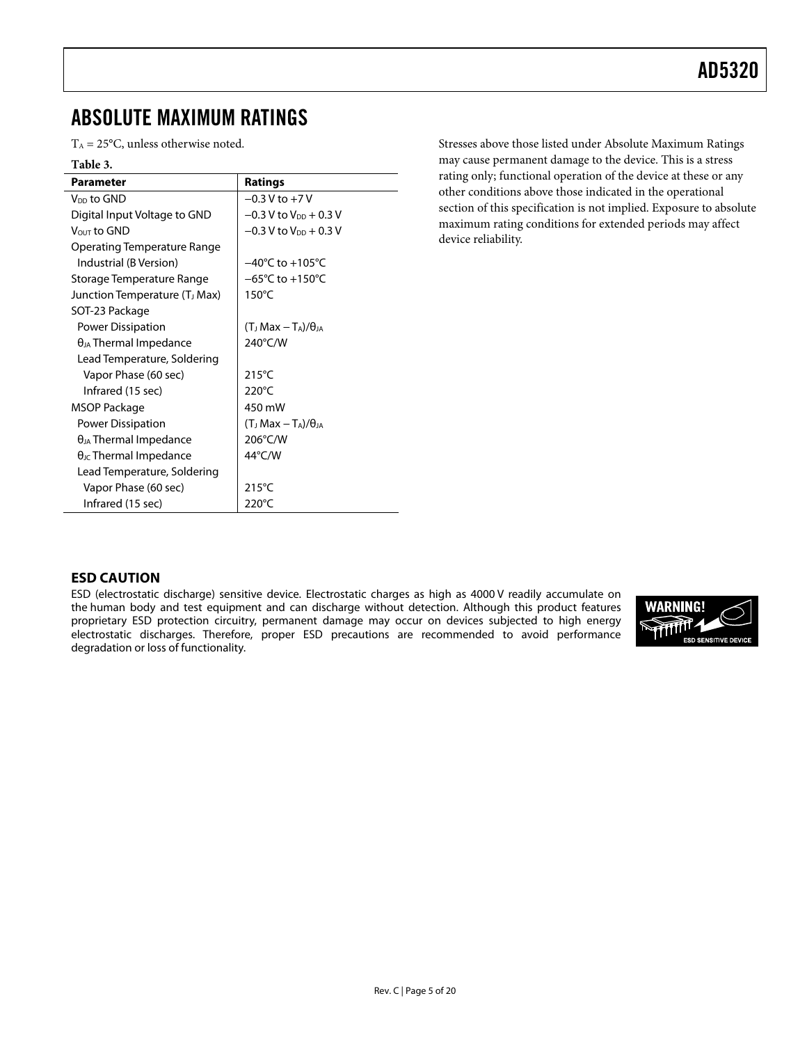## <span id="page-4-0"></span>ABSOLUTE MAXIMUM RATINGS

 $T_A = 25$ °C, unless otherwise noted.

#### **Table 3.**

| <b>Parameter</b>                          | <b>Ratings</b>                                       |
|-------------------------------------------|------------------------------------------------------|
| V <sub>DD</sub> to GND                    | $-0.3$ V to $+7$ V                                   |
| Digital Input Voltage to GND              | $-0.3$ V to V <sub>DD</sub> + 0.3 V                  |
| VOUT to GND                               | $-0.3$ V to $V_{DD}$ + 0.3 V                         |
| Operating Temperature Range               |                                                      |
| Industrial (B Version)                    | $-40^{\circ}$ C to $+105^{\circ}$ C                  |
| Storage Temperature Range                 | $-65^{\circ}$ C to +150 $^{\circ}$ C                 |
| Junction Temperature (T <sub>J</sub> Max) | $150^{\circ}$ C                                      |
| SOT-23 Package                            |                                                      |
| Power Dissipation                         | (T <sub>J</sub> Max $-\mathrm{T_A}$ )/ $\theta_{JA}$ |
| $\theta_{JA}$ Thermal Impedance           | 240°C/W                                              |
| Lead Temperature, Soldering               |                                                      |
| Vapor Phase (60 sec)                      | $215^{\circ}$ C                                      |
| Infrared (15 sec)                         | $220^{\circ}$ C                                      |
| MSOP Package                              | 450 mW                                               |
| Power Dissipation                         | (T <sub>J</sub> Max $-\mathrm{T_A}$ )/ $\theta_{JA}$ |
| $\theta_{JA}$ Thermal Impedance           | 206°C/W                                              |
| $\theta_{\text{JC}}$ Thermal Impedance    | 44°C/W                                               |
| Lead Temperature, Soldering               |                                                      |
| Vapor Phase (60 sec)                      | 215°C                                                |
| Infrared (15 sec)                         | $220^{\circ}$ C                                      |

Stresses above those listed under Absolute Maximum Ratings may cause permanent damage to the device. This is a stress rating only; functional operation of the device at these or any other conditions above those indicated in the operational section of this specification is not implied. Exposure to absolute maximum rating conditions for extended periods may affect device reliability.

#### **ESD CAUTION**

ESD (electrostatic discharge) sensitive device. Electrostatic charges as high as 4000 V readily accumulate on the human body and test equipment and can discharge without detection. Although this product features proprietary ESD protection circuitry, permanent damage may occur on devices subjected to high energy electrostatic discharges. Therefore, proper ESD precautions are recommended to avoid performance degradation or loss of functionality.

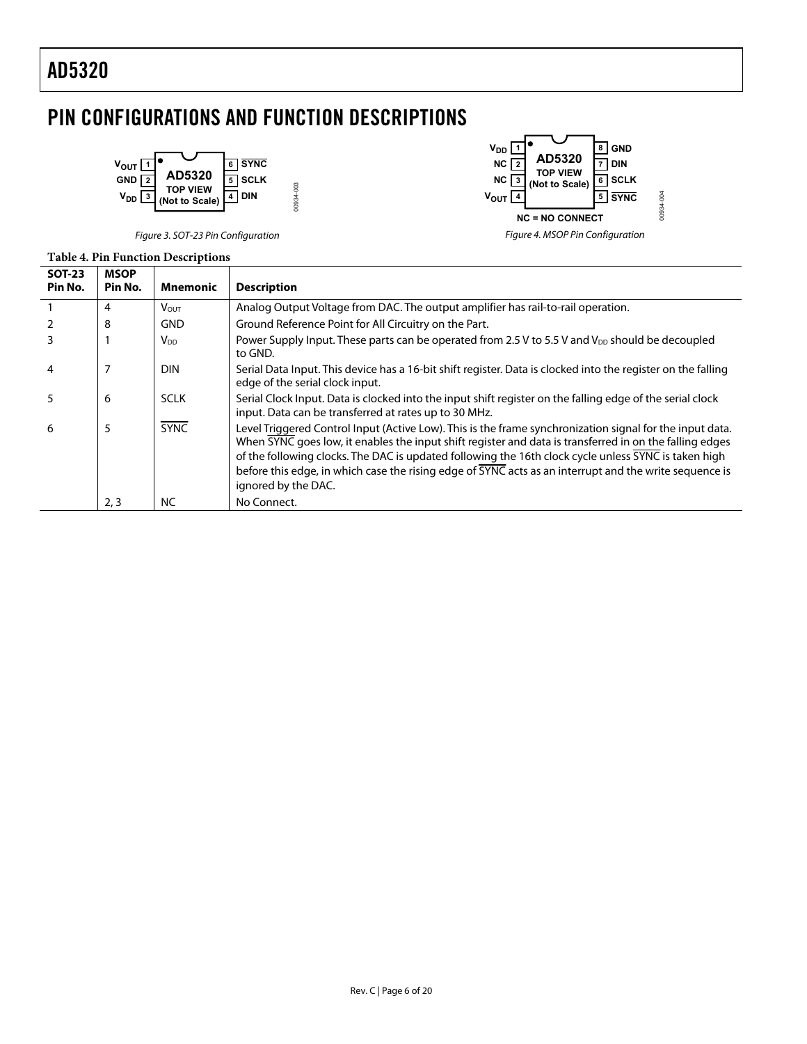## <span id="page-5-0"></span>PIN CONFIGURATIONS AND FUNCTION DESCRIPTIONS





Figure 3. SOT-23 Pin Configuration

#### **Table 4. Pin Function Descriptions**

| <b>SOT-23</b><br>Pin No. | <b>MSOP</b><br>Pin No. | <b>Mnemonic</b> | <b>Description</b>                                                                                                                                                                                                                                                                                                                                                                                                                                           |
|--------------------------|------------------------|-----------------|--------------------------------------------------------------------------------------------------------------------------------------------------------------------------------------------------------------------------------------------------------------------------------------------------------------------------------------------------------------------------------------------------------------------------------------------------------------|
|                          | 4                      | <b>VOUT</b>     | Analog Output Voltage from DAC. The output amplifier has rail-to-rail operation.                                                                                                                                                                                                                                                                                                                                                                             |
|                          | 8                      | <b>GND</b>      | Ground Reference Point for All Circuitry on the Part.                                                                                                                                                                                                                                                                                                                                                                                                        |
|                          |                        | V <sub>DD</sub> | Power Supply Input. These parts can be operated from 2.5 V to 5.5 V and V <sub>DD</sub> should be decoupled<br>to GND.                                                                                                                                                                                                                                                                                                                                       |
| 4                        |                        | <b>DIN</b>      | Serial Data Input. This device has a 16-bit shift register. Data is clocked into the register on the falling<br>edge of the serial clock input.                                                                                                                                                                                                                                                                                                              |
|                          | 6                      | <b>SCLK</b>     | Serial Clock Input. Data is clocked into the input shift register on the falling edge of the serial clock<br>input. Data can be transferred at rates up to 30 MHz.                                                                                                                                                                                                                                                                                           |
| 6                        | 5                      | <b>SYNC</b>     | Level Triggered Control Input (Active Low). This is the frame synchronization signal for the input data.<br>When SYNC goes low, it enables the input shift register and data is transferred in on the falling edges<br>of the following clocks. The DAC is updated following the 16th clock cycle unless SYNC is taken high<br>before this edge, in which case the rising edge of SYNC acts as an interrupt and the write sequence is<br>ignored by the DAC. |
|                          | 2,3                    | NC              | No Connect.                                                                                                                                                                                                                                                                                                                                                                                                                                                  |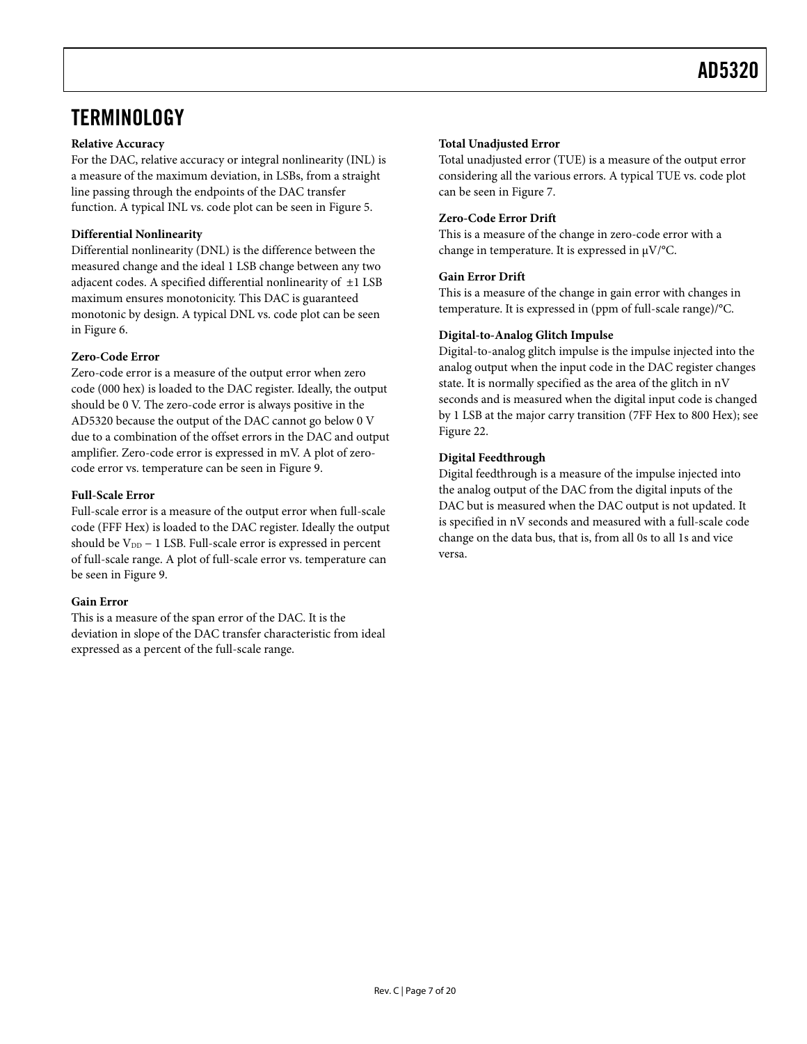## <span id="page-6-0"></span>**TERMINOLOGY**

#### **Relative Accuracy**

For the DAC, relative accuracy or integral nonlinearity (INL) is a measure of the maximum deviation, in LSBs, from a straight line passing through the endpoints of the DAC transfer function. A typical INL vs. code plot can be seen in [Figure 5.](#page-7-1)

### **Differential Nonlinearity**

Differential nonlinearity (DNL) is the difference between the measured change and the ideal 1 LSB change between any two adjacent codes. A specified differential nonlinearity of  $\pm 1$  LSB maximum ensures monotonicity. This DAC is guaranteed monotonic by design. A typical DNL vs. code plot can be seen in [Figure 6.](#page-7-1)

### **Zero-Code Error**

Zero-code error is a measure of the output error when zero code (000 hex) is loaded to the DAC register. Ideally, the output should be 0 V. The zero-code error is always positive in the AD5320 because the output of the DAC cannot go below 0 V due to a combination of the offset errors in the DAC and output amplifier. Zero-code error is expressed in mV. A plot of zerocode error vs. temperature can be seen in [Figure 9.](#page-7-1)

### **Full-Scale Error**

Full-scale error is a measure of the output error when full-scale code (FFF Hex) is loaded to the DAC register. Ideally the output should be  $V_{DD}$  – 1 LSB. Full-scale error is expressed in percent of full-scale range. A plot of full-scale error vs. temperature can be seen in [Figure 9](#page-7-1).

### **Gain Error**

This is a measure of the span error of the DAC. It is the deviation in slope of the DAC transfer characteristic from ideal expressed as a percent of the full-scale range.

### **Total Unadjusted Error**

Total unadjusted error (TUE) is a measure of the output error considering all the various errors. A typical TUE vs. code plot can be seen in [Figure 7](#page-7-1).

#### **Zero-Code Error Drift**

This is a measure of the change in zero-code error with a change in temperature. It is expressed in μV/°C.

### **Gain Error Drift**

This is a measure of the change in gain error with changes in temperature. It is expressed in (ppm of full-scale range)/°C.

### **Digital-to-Analog Glitch Impulse**

Digital-to-analog glitch impulse is the impulse injected into the analog output when the input code in the DAC register changes state. It is normally specified as the area of the glitch in nV seconds and is measured when the digital input code is changed by 1 LSB at the major carry transition (7FF Hex to 800 Hex); see [Figure 22](#page-9-0).

### **Digital Feedthrough**

Digital feedthrough is a measure of the impulse injected into the analog output of the DAC from the digital inputs of the DAC but is measured when the DAC output is not updated. It is specified in nV seconds and measured with a full-scale code change on the data bus, that is, from all 0s to all 1s and vice versa.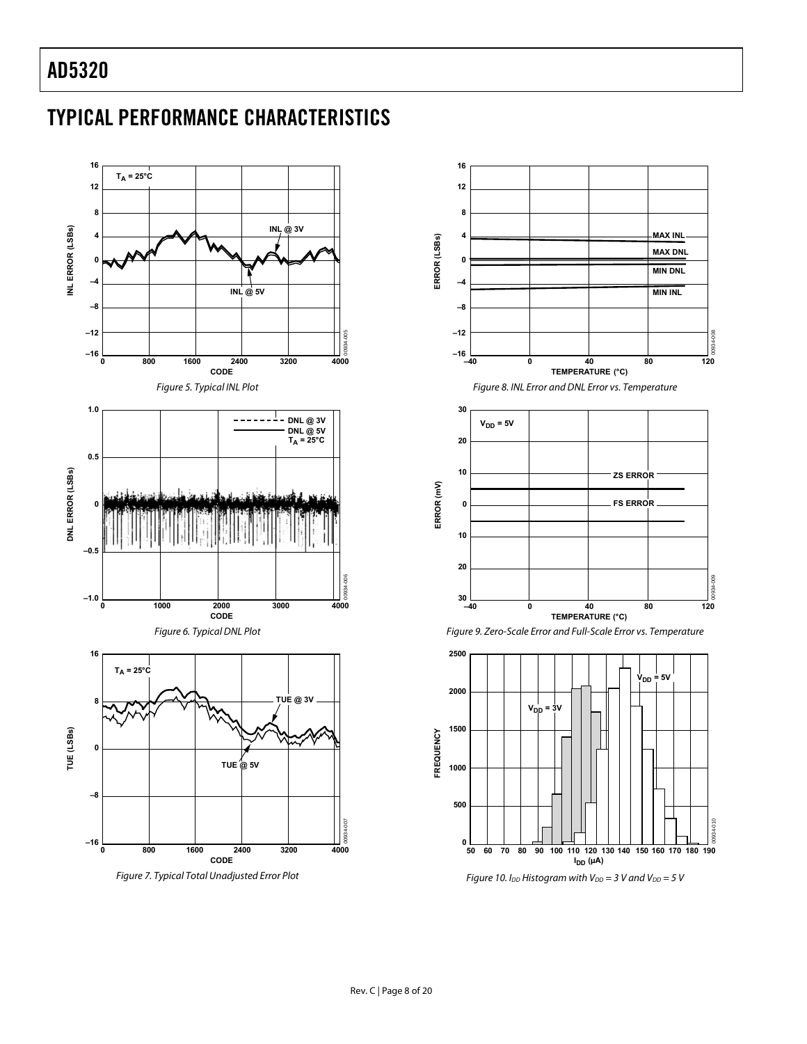# <span id="page-7-1"></span><span id="page-7-0"></span>TYPICAL PERFORMANCE CHARACTERISTICS



Figure 7. Typical Total Unadjusted Error Plot







Figure 10. I<sub>DD</sub> Histogram with V<sub>DD</sub> = 3 V and V<sub>DD</sub> = 5 V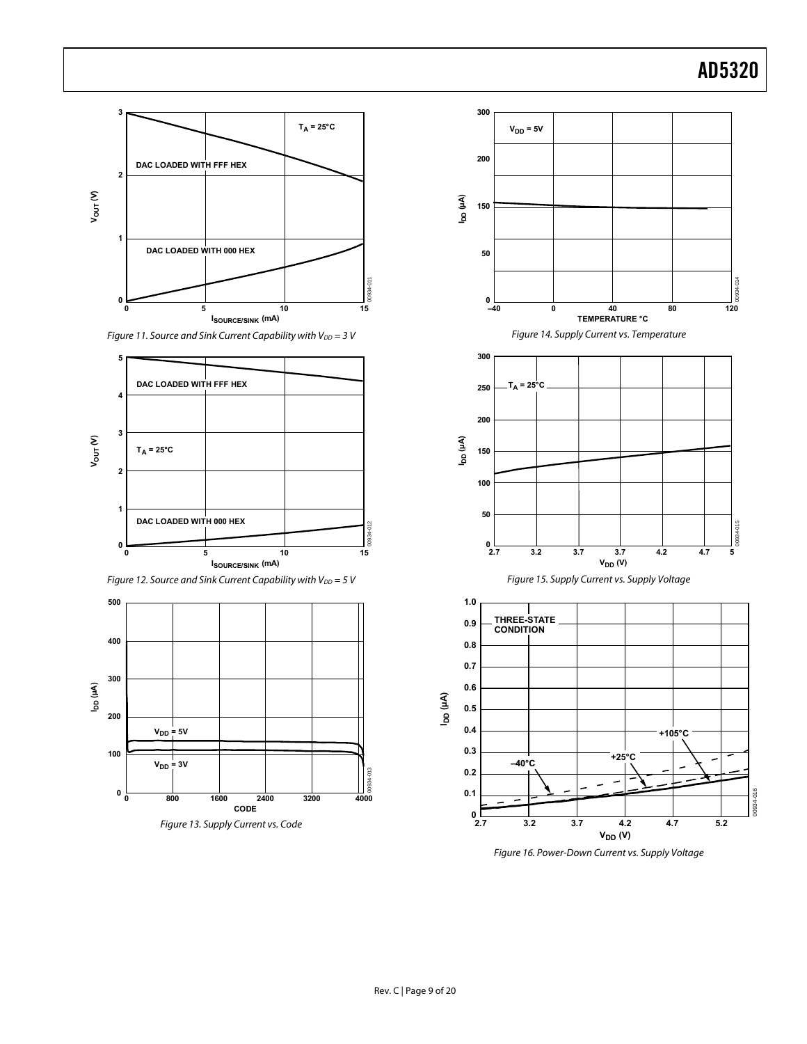<span id="page-8-0"></span>

Figure 11. Source and Sink Current Capability with  $V_{DD} = 3 V$ 



Figure 12. Source and Sink Current Capability with  $V_{DD} = 5$  V







Figure 16. Power-Down Current vs. Supply Voltage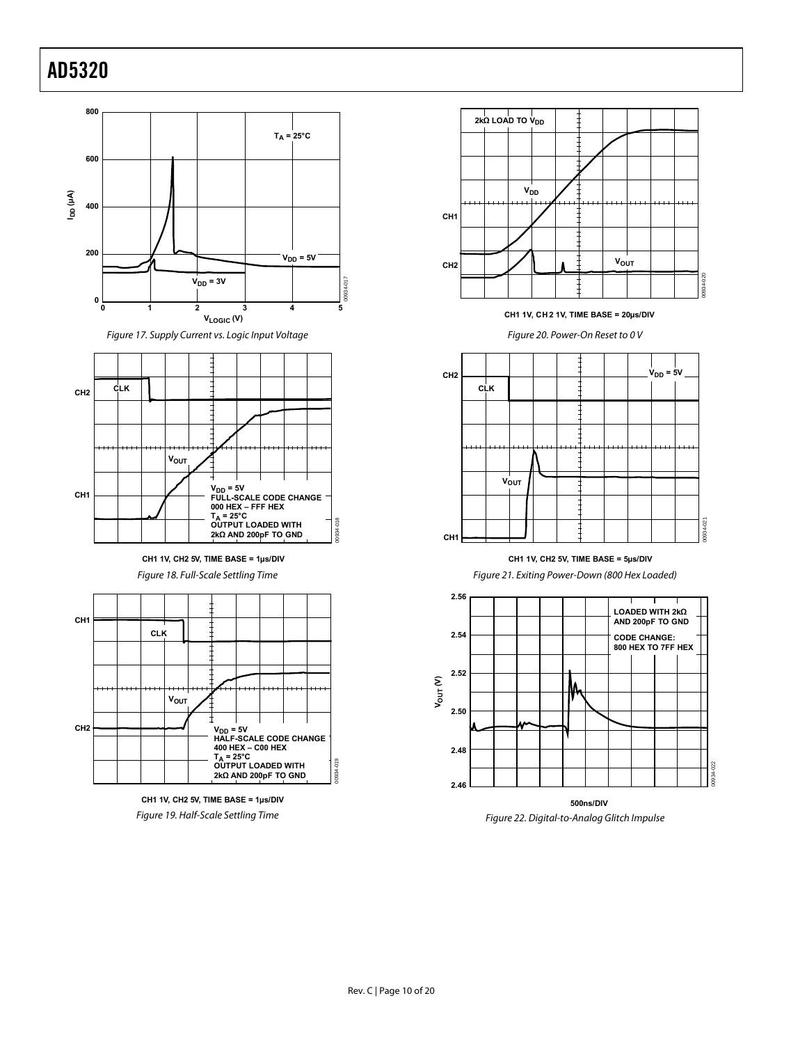<span id="page-9-0"></span>



**CH1 1V, CH2 5V, TIME BASE = 1µs/DIV**

Figure 18. Full-Scale Settling Time







**CH1 1V, CH 2 1V, TIME BASE = 20µs/DIV**

Figure 20. Power-On Reset to 0 V



#### **CH1 1V, CH2 5V, TIME BASE = 5µs/DIV**

Figure 21. Exiting Power-Down (800 Hex Loaded)



Figure 22. Digital-to-Analog Glitch Impulse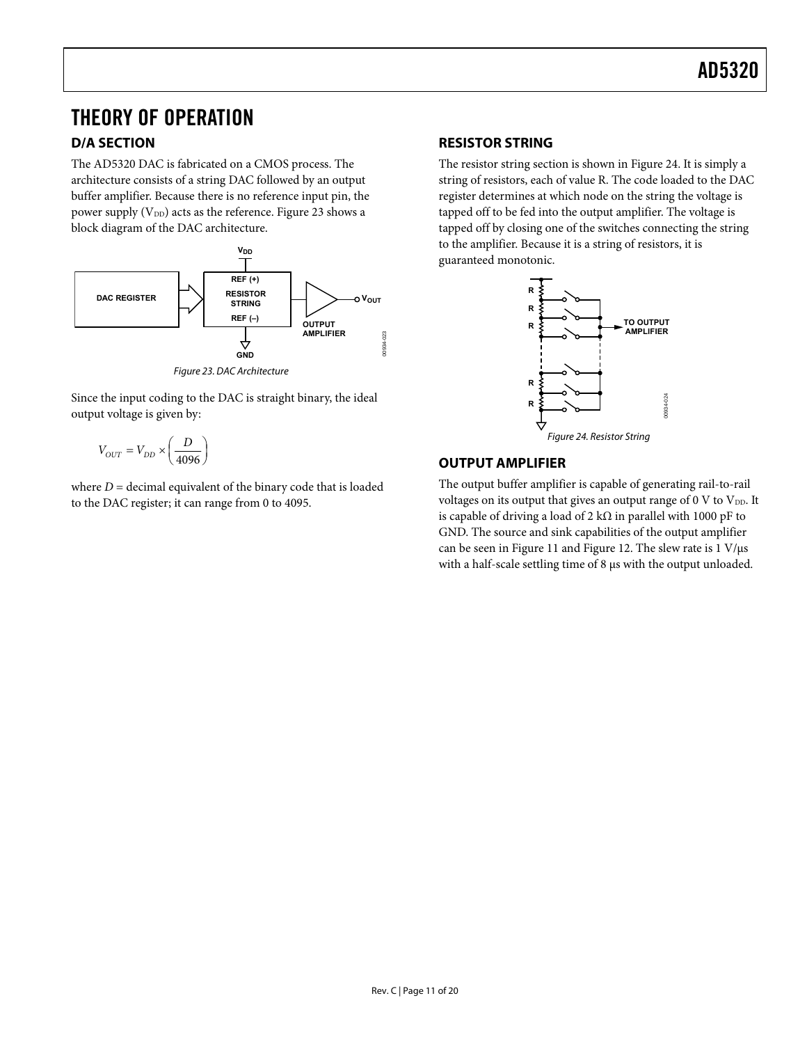## <span id="page-10-0"></span>THEORY OF OPERATION

### **D/A SECTION**

The AD5320 DAC is fabricated on a CMOS process. The architecture consists of a string DAC followed by an output buffer amplifier. Because there is no reference input pin, the power supply  $(V_{DD})$  acts as the reference. Figure 23 shows a block diagram of the DAC architecture.



Figure 23. DAC Architecture

Since the input coding to the DAC is straight binary, the ideal output voltage is given by:

$$
V_{OUT} = V_{DD} \times \left(\frac{D}{4096}\right)
$$

where  $D =$  decimal equivalent of the binary code that is loaded to the DAC register; it can range from 0 to 4095.

### **RESISTOR STRING**

The resistor string section is shown in Figure 24. It is simply a string of resistors, each of value R. The code loaded to the DAC register determines at which node on the string the voltage is tapped off to be fed into the output amplifier. The voltage is tapped off by closing one of the switches connecting the string to the amplifier. Because it is a string of resistors, it is guaranteed monotonic.



### **OUTPUT AMPLIFIER**

The output buffer amplifier is capable of generating rail-to-rail voltages on its output that gives an output range of  $0 \, \text{V}$  to  $\text{V}_{\text{DD}}$ . It is capable of driving a load of 2 kΩ in parallel with 1000 pF to GND. The source and sink capabilities of the output amplifier can be seen in [Figure 11](#page-8-0) and [Figure 12](#page-7-1). The slew rate is 1 V/μs with a half-scale settling time of 8 μs with the output unloaded.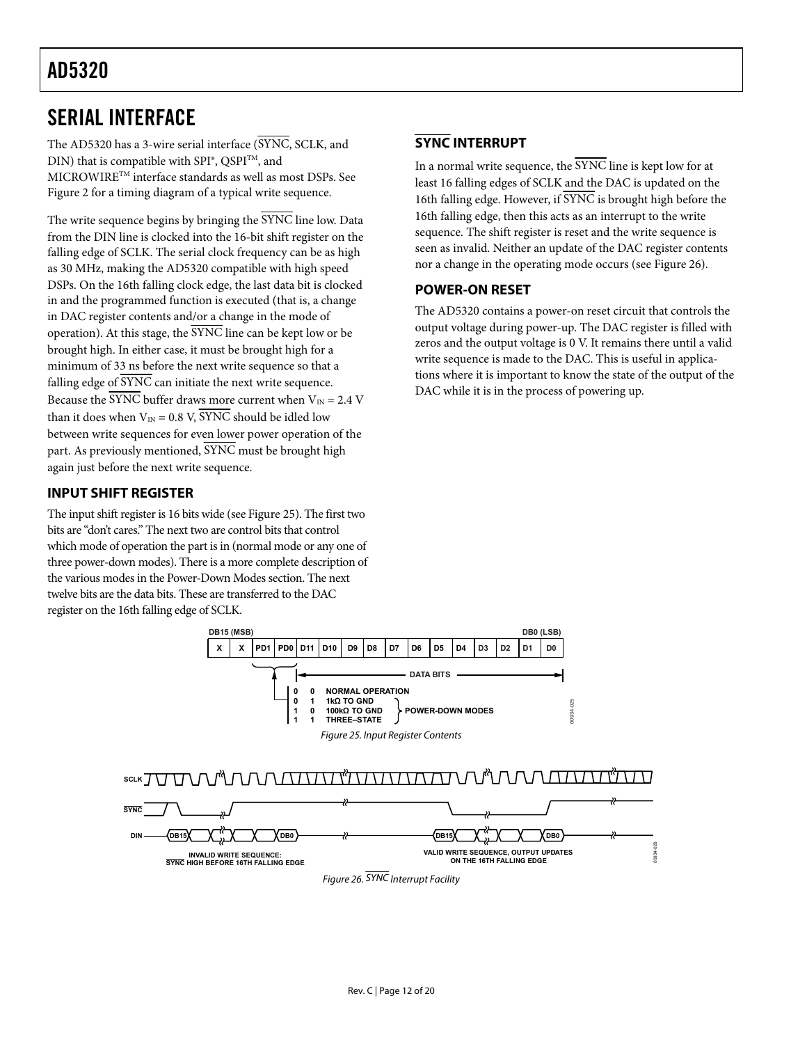## <span id="page-11-0"></span>SERIAL INTERFACE

The AD5320 has a 3-wire serial interface (SYNC, SCLK, and DIN) that is compatible with  $SPI^{\circ}$ , QSPI<sup>TM</sup>, and MICROWIRETM interface standards as well as most DSPs. See [Figure 2](#page-3-1) for a timing diagram of a typical write sequence.

The write sequence begins by bringing the SYNC line low. Data from the DIN line is clocked into the 16-bit shift register on the falling edge of SCLK. The serial clock frequency can be as high as 30 MHz, making the AD5320 compatible with high speed DSPs. On the 16th falling clock edge, the last data bit is clocked in and the programmed function is executed (that is, a change in DAC register contents and/or a change in the mode of operation). At this stage, the  $\overline{\text{SYNC}}$  line can be kept low or be brought high. In either case, it must be brought high for a minimum of 33 ns before the next write sequence so that a falling edge of  $\overline{\text{SYNC}}$  can initiate the next write sequence. Because the  $\overline{\text{SYNC}}$  buffer draws more current when  $V_{\text{IN}} = 2.4 \text{ V}$ than it does when  $V_{IN} = 0.8$  V,  $\overline{SYNC}$  should be idled low between write sequences for even lower power operation of the part. As previously mentioned,  $\overline{\text{SYNC}}$  must be brought high again just before the next write sequence.

### **INPUT SHIFT REGISTER**

The input shift register is 16 bits wide (see Figure 25). The first two bits are "don't cares." The next two are control bits that control which mode of operation the part is in (normal mode or any one of three power-down modes). There is a more complete description of the various modes in the Power-Down Modes section. The next twelve bits are the data bits. These are transferred to the DAC register on the 16th falling edge of SCLK.

### **SYNC INTERRUPT**

In a normal write sequence, the  $\overline{\text{SYNC}}$  line is kept low for at least 16 falling edges of SCLK and the DAC is updated on the 16th falling edge. However, if SYNC is brought high before the 16th falling edge, then this acts as an interrupt to the write sequence. The shift register is reset and the write sequence is seen as invalid. Neither an update of the DAC register contents nor a change in the operating mode occurs (see Figure 26).

### **POWER-ON RESET**

The AD5320 contains a power-on reset circuit that controls the output voltage during power-up. The DAC register is filled with zeros and the output voltage is 0 V. It remains there until a valid write sequence is made to the DAC. This is useful in applications where it is important to know the state of the output of the DAC while it is in the process of powering up.

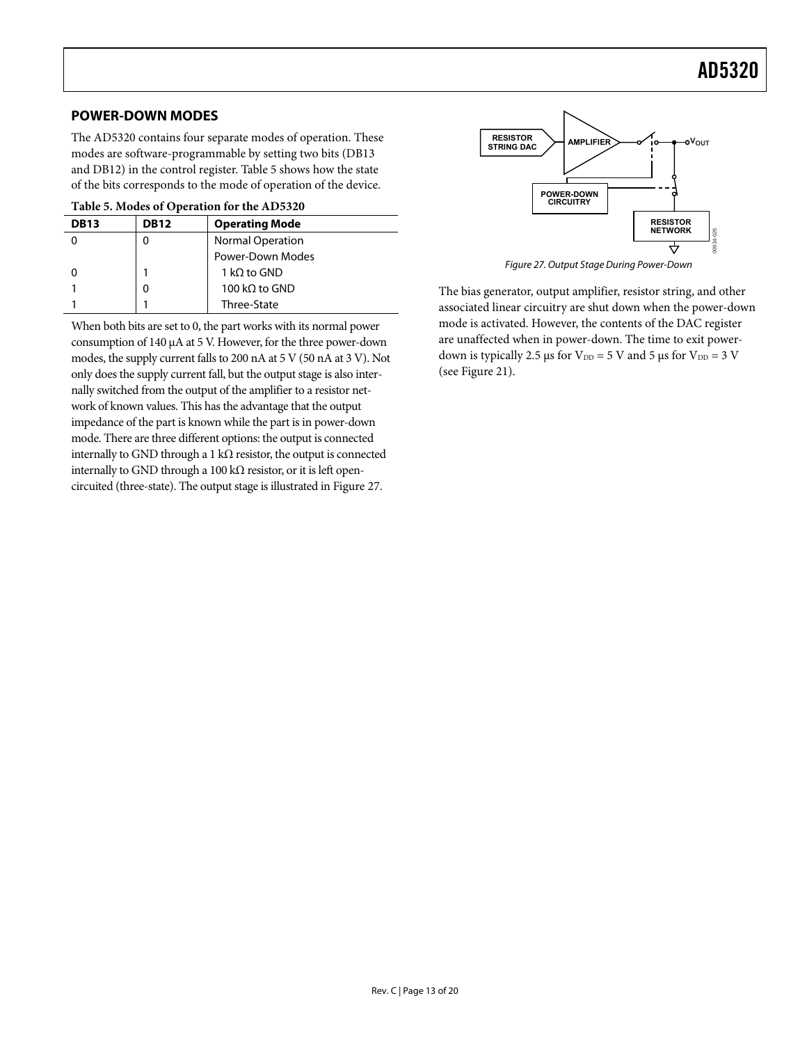### <span id="page-12-0"></span>**POWER-DOWN MODES**

The AD5320 contains four separate modes of operation. These modes are software-programmable by setting two bits (DB13 and DB12) in the control register. [Table 5](#page-12-1) shows how the state of the bits corresponds to the mode of operation of the device.

| Table 5. Modes of Operation for the AD5320 |  |  |
|--------------------------------------------|--|--|
|--------------------------------------------|--|--|

<span id="page-12-1"></span>

| <b>DB13</b> | <b>DB12</b> | <b>Operating Mode</b>   |
|-------------|-------------|-------------------------|
|             | 0           | <b>Normal Operation</b> |
|             |             | Power-Down Modes        |
|             |             | 1 kQ to GND             |
|             | 0           | 100 kΩ to GND           |
|             |             | Three-State             |

When both bits are set to 0, the part works with its normal power consumption of 140 μA at 5 V. However, for the three power-down modes, the supply current falls to 200 nA at 5 V (50 nA at 3 V). Not only does the supply current fall, but the output stage is also internally switched from the output of the amplifier to a resistor network of known values. This has the advantage that the output impedance of the part is known while the part is in power-down mode. There are three different options: the output is connected internally to GND through a 1 k $\Omega$  resistor, the output is connected internally to GND through a 100 k $\Omega$  resistor, or it is left opencircuited (three-state). The output stage is illustrated in Figure 27.



Figure 27. Output Stage During Power-Down

The bias generator, output amplifier, resistor string, and other associated linear circuitry are shut down when the power-down mode is activated. However, the contents of the DAC register are unaffected when in power-down. The time to exit powerdown is typically 2.5 μs for  $V_{DD} = 5$  V and 5 μs for  $V_{DD} = 3$  V (see [Figure 21\)](#page-9-0).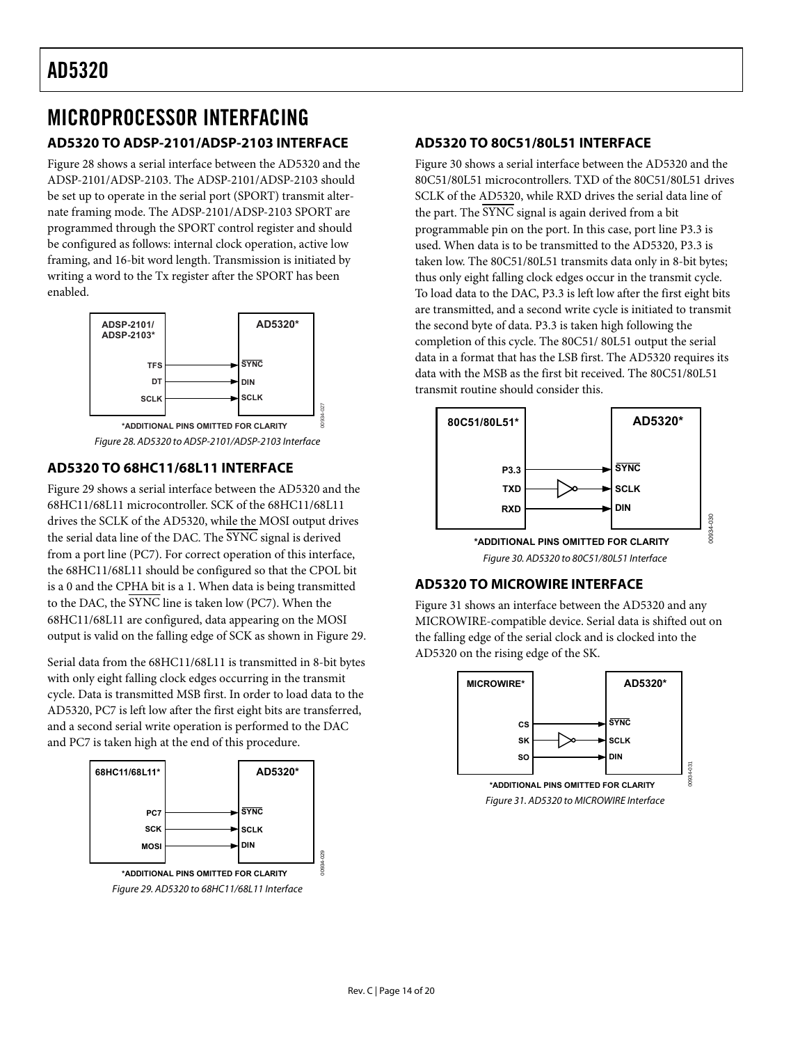### <span id="page-13-0"></span>MICROPROCESSOR INTERFACING **AD5320 TO ADSP-2101/ADSP-2103 INTERFACE**

Figure 28 shows a serial interface between the AD5320 and the [ADSP-2101/](http://www.analog.com/en/prod/0%2C2877%2CADSP%25252D2101%2C00.html)ADSP-2103. [The ADSP-2101](http://www.analog.com/en/prod/0%2C2877%2CADSP%25252D2101%2C00.html)/ADSP-2103 should be set up to operate in the serial port (SPORT) transmit alternate framing mode. The [ADSP-2101/](http://www.analog.com/en/prod/0%2C2877%2CADSP%25252D2101%2C00.html)ADSP-2103 SPORT are programmed through the SPORT control register and should be configured as follows: internal clock operation, active low framing, and 16-bit word length. Transmission is initiated by writing a word to the Tx register after the SPORT has been enabled.



Figure 28. AD5320 to ADSP-2101/ADSP-2103 Interface

00934-027

### **AD5320 TO 68HC11/68L11 INTERFACE**

Figure 29 shows a serial interface between the AD5320 and the 68HC11/68L11 microcontroller. SCK of the 68HC11/68L11 drives the SCLK of the AD5320, while the MOSI output drives the serial data line of the DAC. The SYNC signal is derived from a port line (PC7). For correct operation of this interface, the 68HC11/68L11 should be configured so that the CPOL bit is a 0 and the CPHA bit is a 1. When data is being transmitted to the DAC, the SYNC line is taken low (PC7). When the 68HC11/68L11 are configured, data appearing on the MOSI output is valid on the falling edge of SCK as shown in Figure 29.

Serial data from the 68HC11/68L11 is transmitted in 8-bit bytes with only eight falling clock edges occurring in the transmit cycle. Data is transmitted MSB first. In order to load data to the AD5320, PC7 is left low after the first eight bits are transferred, and a second serial write operation is performed to the DAC and PC7 is taken high at the end of this procedure.



### **AD5320 TO 80C51/80L51 INTERFACE**

Figure 30 shows a serial interface between the AD5320 and the 80C51/80L51 microcontrollers. TXD of the 80C51/80L51 drives SCLK of the AD5320, while RXD drives the serial data line of the part. The SYNC signal is again derived from a bit programmable pin on the port. In this case, port line P3.3 is used. When data is to be transmitted to the AD5320, P3.3 is taken low. The 80C51/80L51 transmits data only in 8-bit bytes; thus only eight falling clock edges occur in the transmit cycle. To load data to the DAC, P3.3 is left low after the first eight bits are transmitted, and a second write cycle is initiated to transmit the second byte of data. P3.3 is taken high following the completion of this cycle. The 80C51/ 80L51 output the serial data in a format that has the LSB first. The AD5320 requires its data with the MSB as the first bit received. The 80C51/80L51 transmit routine should consider this.



### **AD5320 TO MICROWIRE INTERFACE**

Figure 31 shows an interface between the AD5320 and any MICROWIRE-compatible device. Serial data is shifted out on the falling edge of the serial clock and is clocked into the AD5320 on the rising edge of the SK.

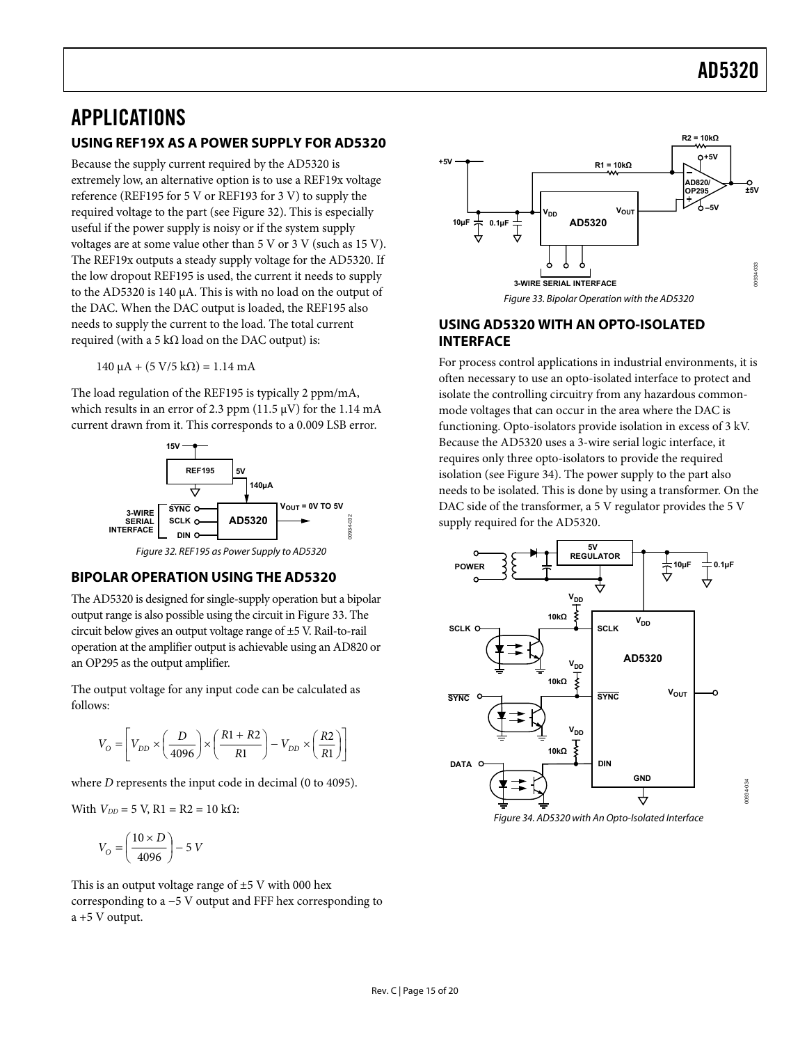### <span id="page-14-0"></span>APPLICATIONS

#### **USING REF19X AS A POWER SUPPLY FOR AD5320**

Because the supply current required by the AD5320 is extremely low, an alternative option is to use a REF19x voltage reference [\(REF195 f](http://www.analog.com/en/prod/0,2877,REF195,00.html)or 5 V or [REF193](http://www.analog.com/en/prod/0%2C2877%2CREF193%2C00.html) for 3 V) to supply the required voltage to the part (see Figure 32). This is especially useful if the power supply is noisy or if the system supply voltages are at some value other than 5 V or 3 V (such as 15 V). The REF19x outputs a steady supply voltage for the AD5320. If the low dropout REF195 is used, the current it needs to supply to the AD5320 is 140 μA. This is with no load on the output of the DAC. When the DAC output is loaded, the REF195 also needs to supply the current to the load. The total current required (with a 5 kΩ load on the DAC output) is:

 $140 \mu A + (5 V/5 k\Omega) = 1.14 mA$ 

The load regulation of the [REF195](http://www.analog.com/en/prod/0,2877,REF195,00.html) is typically 2 ppm/mA, which results in an error of 2.3 ppm (11.5  $\mu$ V) for the 1.14 mA current drawn from it. This corresponds to a 0.009 LSB error.



#### **BIPOLAR OPERATION USING THE AD5320**

The AD5320 is designed for single-supply operation but a bipolar output range is also possible using the circuit in Figure 33. The circuit below gives an output voltage range of ±5 V. Rail-to-rail operation at the amplifier output is achievable using an [AD820](http://www.analog.com/en/prod/0,2877,AD820,00.html) or an [OP295](http://www.analog.com/en/prod/0,2877,OP295,00.html) as the output amplifier.

The output voltage for any input code can be calculated as follows:

$$
V_O = \left[ V_{DD} \times \left( \frac{D}{4096} \right) \times \left( \frac{R1 + R2}{R1} \right) - V_{DD} \times \left( \frac{R2}{R1} \right) \right]
$$

where *D* represents the input code in decimal (0 to 4095).

With  $V_{DD}$  = 5 V, R1 = R2 = 10 kΩ:

$$
V_O = \left(\frac{10 \times D}{4096}\right) - 5 \text{ V}
$$

This is an output voltage range of  $\pm$ 5 V with 000 hex corresponding to a −5 V output and FFF hex corresponding to a +5 V output.



### **USING AD5320 WITH AN OPTO-ISOLATED INTERFACE**

For process control applications in industrial environments, it is often necessary to use an opto-isolated interface to protect and isolate the controlling circuitry from any hazardous commonmode voltages that can occur in the area where the DAC is functioning. Opto-isolators provide isolation in excess of 3 kV. Because the AD5320 uses a 3-wire serial logic interface, it requires only three opto-isolators to provide the required isolation (see Figure 34). The power supply to the part also needs to be isolated. This is done by using a transformer. On the DAC side of the transformer, a 5 V regulator provides the 5 V supply required for the AD5320.



Figure 34. AD5320 with An Opto-Isolated Interface

00934-034

134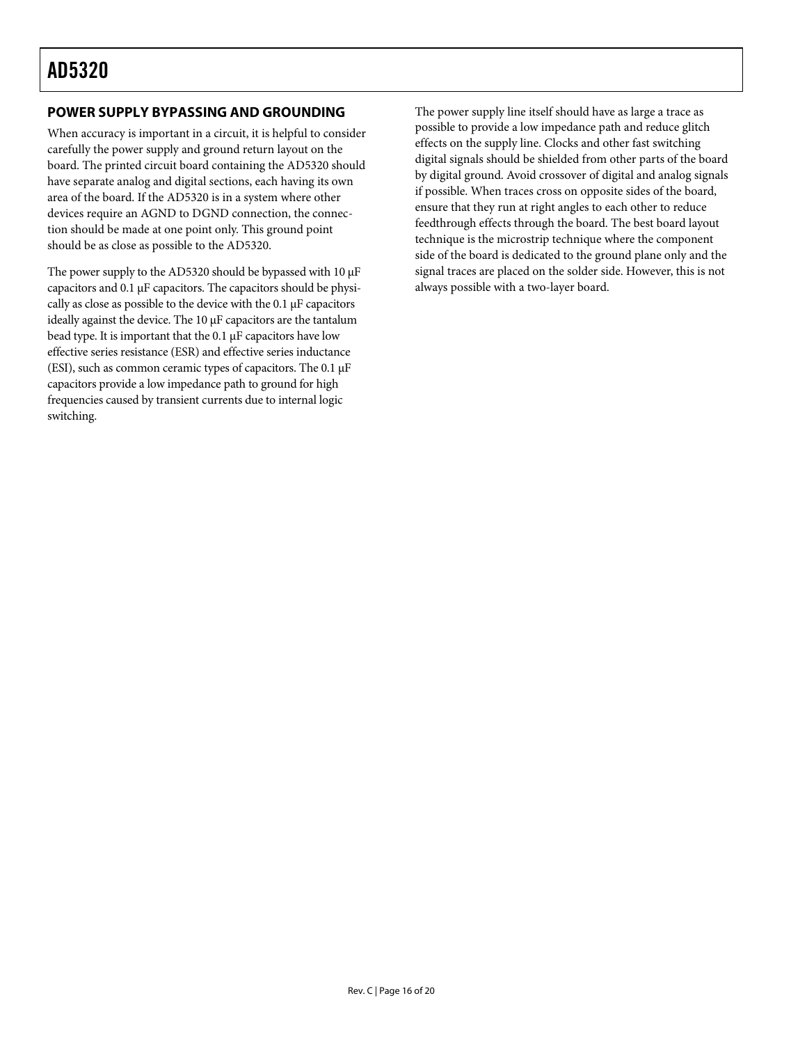### <span id="page-15-0"></span>**POWER SUPPLY BYPASSING AND GROUNDING**

When accuracy is important in a circuit, it is helpful to consider carefully the power supply and ground return layout on the board. The printed circuit board containing the AD5320 should have separate analog and digital sections, each having its own area of the board. If the AD5320 is in a system where other devices require an AGND to DGND connection, the connection should be made at one point only. This ground point should be as close as possible to the AD5320.

The power supply to the AD5320 should be bypassed with 10 μF capacitors and 0.1 μF capacitors. The capacitors should be physically as close as possible to the device with the 0.1 μF capacitors ideally against the device. The 10 μF capacitors are the tantalum bead type. It is important that the  $0.1 \mu$ F capacitors have low effective series resistance (ESR) and effective series inductance (ESI), such as common ceramic types of capacitors. The 0.1 μF capacitors provide a low impedance path to ground for high frequencies caused by transient currents due to internal logic switching.

The power supply line itself should have as large a trace as possible to provide a low impedance path and reduce glitch effects on the supply line. Clocks and other fast switching digital signals should be shielded from other parts of the board by digital ground. Avoid crossover of digital and analog signals if possible. When traces cross on opposite sides of the board, ensure that they run at right angles to each other to reduce feedthrough effects through the board. The best board layout technique is the microstrip technique where the component side of the board is dedicated to the ground plane only and the signal traces are placed on the solder side. However, this is not always possible with a two-layer board.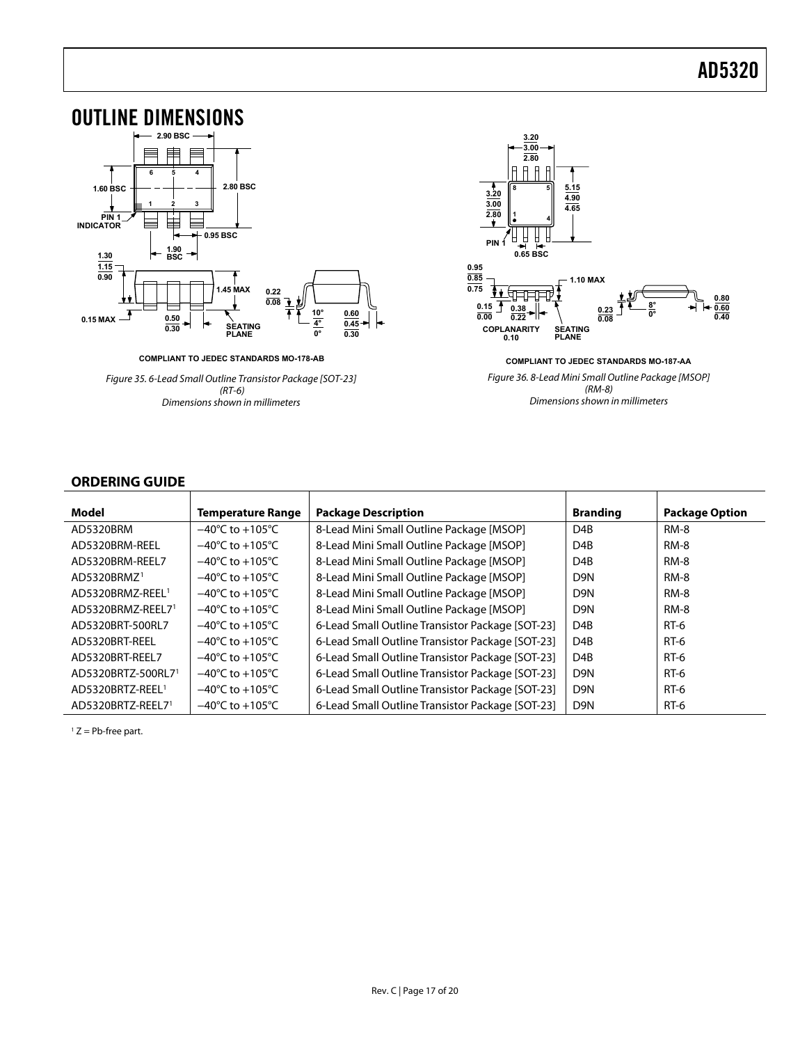<span id="page-16-0"></span>

**COMPLIANT TO JEDEC STANDARDS MO-178-AB**

Figure 35. 6-Lead Small Outline Transistor Package [SOT-23] (RT-6) Dimensions shown in millimeters



**COMPLIANT TO JEDEC STANDARDS MO-187-AA** Figure 36. 8-Lead Mini Small Outline Package [MSOP] (RM-8) Dimensions shown in millimeters

#### **ORDERING GUIDE**

<span id="page-16-1"></span>

| Model                          | <b>Temperature Range</b>            | <b>Package Description</b>                       | <b>Branding</b>  | <b>Package Option</b> |
|--------------------------------|-------------------------------------|--------------------------------------------------|------------------|-----------------------|
| AD5320BRM                      | $-40^{\circ}$ C to $+105^{\circ}$ C | 8-Lead Mini Small Outline Package [MSOP]         | D <sub>4</sub> B | <b>RM-8</b>           |
| AD5320BRM-REEL                 | $-40^{\circ}$ C to $+105^{\circ}$ C | 8-Lead Mini Small Outline Package [MSOP]         | D <sub>4</sub> B | <b>RM-8</b>           |
| AD5320BRM-REEL7                | $-40^{\circ}$ C to $+105^{\circ}$ C | 8-Lead Mini Small Outline Package [MSOP]         | D <sub>4</sub> B | <b>RM-8</b>           |
| AD5320BRMZ <sup>1</sup>        | $-40^{\circ}$ C to $+105^{\circ}$ C | 8-Lead Mini Small Outline Package [MSOP]         | D9N              | <b>RM-8</b>           |
| AD5320BRMZ-REEL <sup>1</sup>   | $-40^{\circ}$ C to $+105^{\circ}$ C | 8-Lead Mini Small Outline Package [MSOP]         | D9N              | <b>RM-8</b>           |
| AD5320BRMZ-REEL71              | $-40^{\circ}$ C to $+105^{\circ}$ C | 8-Lead Mini Small Outline Package [MSOP]         | D <sub>9</sub> N | <b>RM-8</b>           |
| AD5320BRT-500RL7               | $-40^{\circ}$ C to $+105^{\circ}$ C | 6-Lead Small Outline Transistor Package [SOT-23] | D <sub>4</sub> B | RT-6                  |
| AD5320BRT-REEL                 | $-40^{\circ}$ C to $+105^{\circ}$ C | 6-Lead Small Outline Transistor Package [SOT-23] | D <sub>4</sub> B | RT-6                  |
| AD5320BRT-REEL7                | $-40^{\circ}$ C to $+105^{\circ}$ C | 6-Lead Small Outline Transistor Package [SOT-23] | D <sub>4</sub> B | $RT-6$                |
| AD5320BRTZ-500RL7 <sup>1</sup> | $-40^{\circ}$ C to $+105^{\circ}$ C | 6-Lead Small Outline Transistor Package [SOT-23] | D9N              | RT-6                  |
| AD5320BRTZ-REEL <sup>1</sup>   | $-40^{\circ}$ C to $+105^{\circ}$ C | 6-Lead Small Outline Transistor Package [SOT-23] | D9N              | <b>RT-6</b>           |
| AD5320BRTZ-REEL71              | $-40^{\circ}$ C to $+105^{\circ}$ C | 6-Lead Small Outline Transistor Package [SOT-23] | D9N              | RT-6                  |

 $1 Z = Pb$ -free part.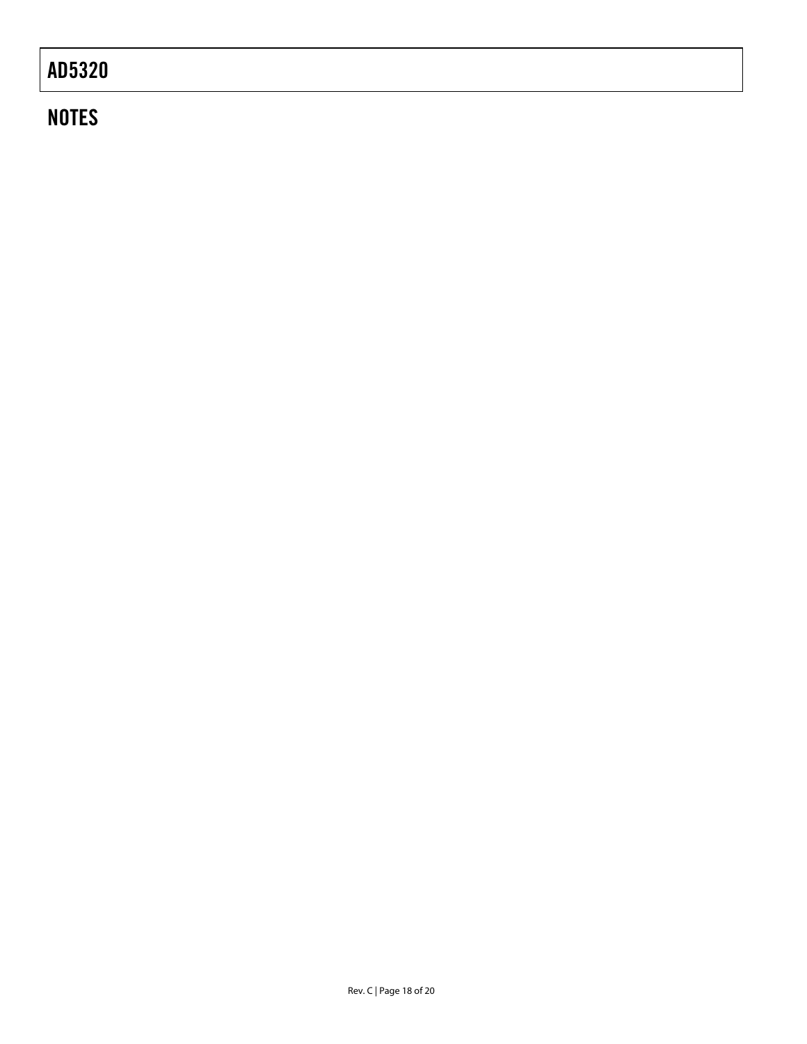# **NOTES**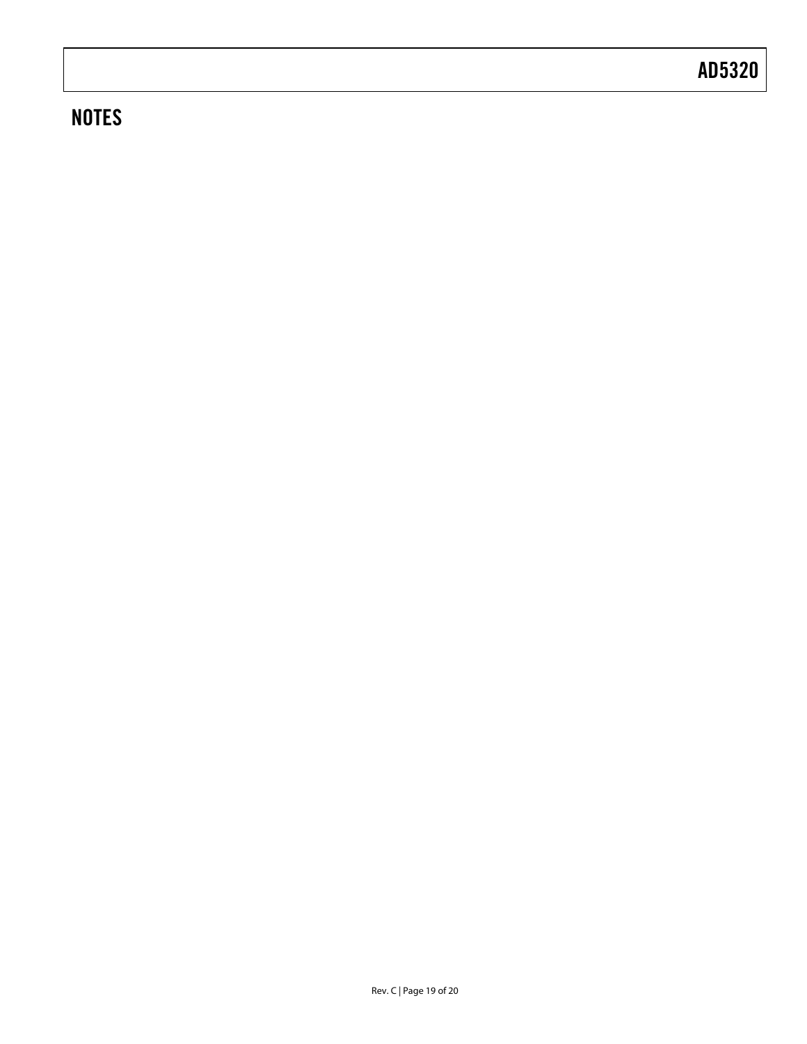# **NOTES**